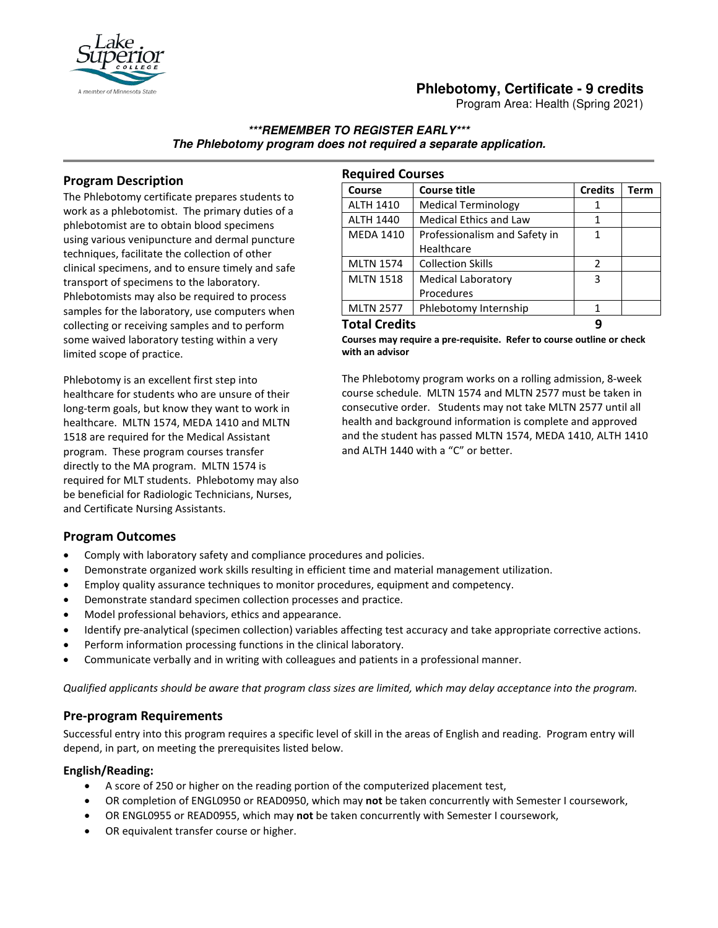

# **Phlebotomy, Certificate - 9 credits**

Program Area: Health (Spring 2021)

### **\*\*\*REMEMBER TO REGISTER EARLY\*\*\* The Phlebotomy program does not required a separate application.**

## **Program Description**

The Phlebotomy certificate prepares students to work as a phlebotomist. The primary duties of a phlebotomist are to obtain blood specimens using various venipuncture and dermal puncture techniques, facilitate the collection of other clinical specimens, and to ensure timely and safe transport of specimens to the laboratory. Phlebotomists may also be required to process samples for the laboratory, use computers when collecting or receiving samples and to perform some waived laboratory testing within a very limited scope of practice.

Phlebotomy is an excellent first step into healthcare for students who are unsure of their long-term goals, but know they want to work in healthcare. MLTN 1574, MEDA 1410 and MLTN 1518 are required for the Medical Assistant program. These program courses transfer directly to the MA program. MLTN 1574 is required for MLT students. Phlebotomy may also be beneficial for Radiologic Technicians, Nurses, and Certificate Nursing Assistants.

| <b>Required Courses</b> |                               |                |             |
|-------------------------|-------------------------------|----------------|-------------|
| Course                  | <b>Course title</b>           | <b>Credits</b> | <b>Term</b> |
| <b>ALTH 1410</b>        | <b>Medical Terminology</b>    | 1              |             |
| <b>ALTH 1440</b>        | Medical Ethics and Law        | 1              |             |
| <b>MEDA 1410</b>        | Professionalism and Safety in | 1              |             |
|                         | Healthcare                    |                |             |
| <b>MLTN 1574</b>        | <b>Collection Skills</b>      | $\mathfrak{p}$ |             |
| <b>MLTN 1518</b>        | <b>Medical Laboratory</b>     | 3              |             |
|                         | Procedures                    |                |             |
| <b>MLTN 2577</b>        | Phlebotomy Internship         |                |             |
| <b>Total Credits</b>    |                               |                |             |

**Courses may require a pre-requisite. Refer to course outline or check with an advisor** 

The Phlebotomy program works on a rolling admission, 8-week course schedule. MLTN 1574 and MLTN 2577 must be taken in consecutive order. Students may not take MLTN 2577 until all health and background information is complete and approved and the student has passed MLTN 1574, MEDA 1410, ALTH 1410 and ALTH 1440 with a "C" or better.

## **Program Outcomes**

- Comply with laboratory safety and compliance procedures and policies.
- Demonstrate organized work skills resulting in efficient time and material management utilization.
- Employ quality assurance techniques to monitor procedures, equipment and competency.
- Demonstrate standard specimen collection processes and practice.
- Model professional behaviors, ethics and appearance.
- Identify pre-analytical (specimen collection) variables affecting test accuracy and take appropriate corrective actions.
- Perform information processing functions in the clinical laboratory.
- Communicate verbally and in writing with colleagues and patients in a professional manner.

*Qualified applicants should be aware that program class sizes are limited, which may delay acceptance into the program.*

#### **Pre-program Requirements**

Successful entry into this program requires a specific level of skill in the areas of English and reading. Program entry will depend, in part, on meeting the prerequisites listed below.

#### **English/Reading:**

- A score of 250 or higher on the reading portion of the computerized placement test,
- OR completion of ENGL0950 or READ0950, which may **not** be taken concurrently with Semester I coursework,
- OR ENGL0955 or READ0955, which may **not** be taken concurrently with Semester I coursework,
- OR equivalent transfer course or higher.